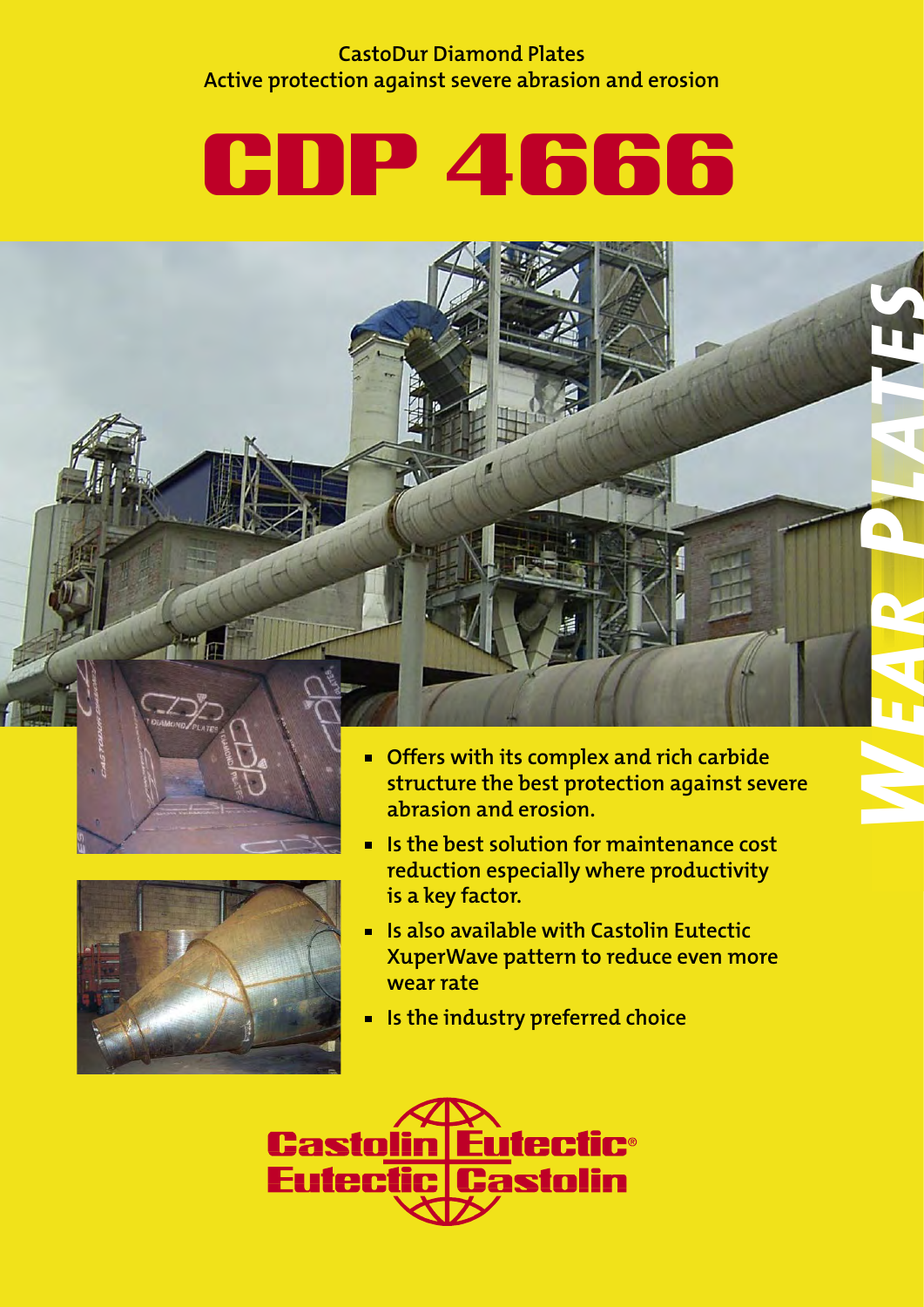### **CastoDur Diamond Plates Active protection against severe abrasion and erosion**

# CDP 4666





 **Offers with its complex and rich carbide structure the best protection against severe abrasion and erosion.** 



- **Is the best solution for maintenance cost reduction especially where productivity is a key factor.**
- **Is also available with Castolin Eutectic XuperWave pattern to reduce even more wear rate**
- **EX Is the industry preferred choice**